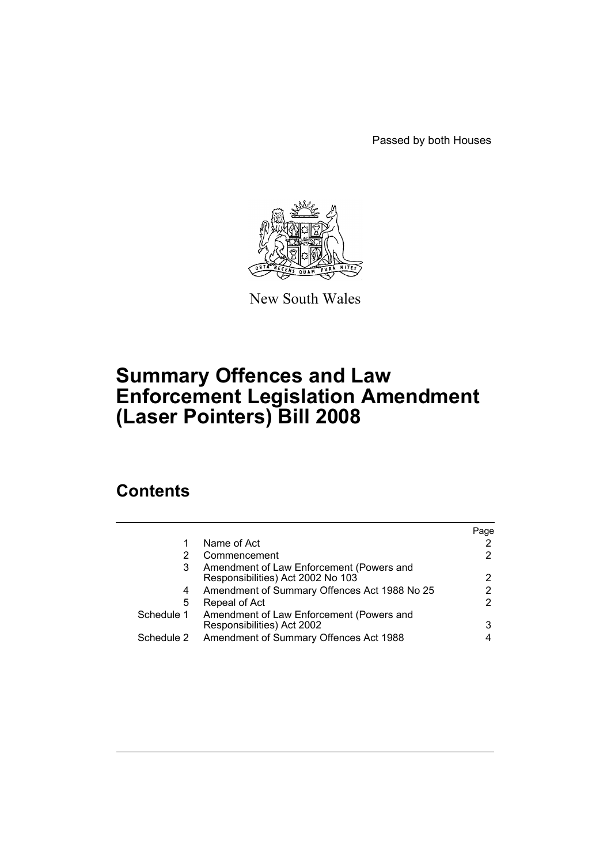Passed by both Houses



New South Wales

# **Summary Offences and Law Enforcement Legislation Amendment (Laser Pointers) Bill 2008**

## **Contents**

|            |                                                                               | Page |
|------------|-------------------------------------------------------------------------------|------|
| 1          | Name of Act                                                                   |      |
| 2          | Commencement                                                                  |      |
| 3          | Amendment of Law Enforcement (Powers and<br>Responsibilities) Act 2002 No 103 |      |
| 4          | Amendment of Summary Offences Act 1988 No 25                                  |      |
| 5          | Repeal of Act                                                                 |      |
| Schedule 1 | Amendment of Law Enforcement (Powers and<br>Responsibilities) Act 2002        | 3    |
| Schedule 2 | Amendment of Summary Offences Act 1988                                        |      |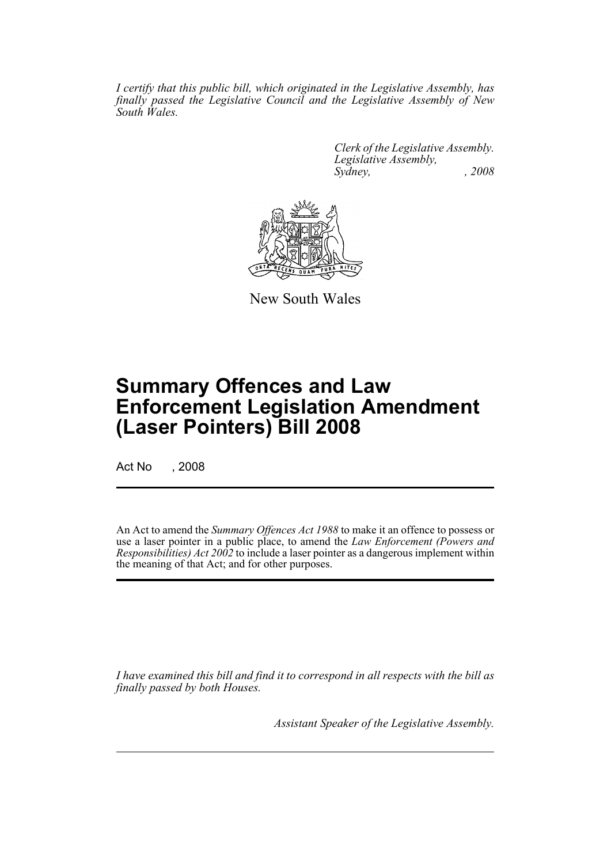*I certify that this public bill, which originated in the Legislative Assembly, has finally passed the Legislative Council and the Legislative Assembly of New South Wales.*

> *Clerk of the Legislative Assembly. Legislative Assembly, Sydney, , 2008*



New South Wales

## **Summary Offences and Law Enforcement Legislation Amendment (Laser Pointers) Bill 2008**

Act No , 2008

An Act to amend the *Summary Offences Act 1988* to make it an offence to possess or use a laser pointer in a public place, to amend the *Law Enforcement (Powers and Responsibilities) Act 2002* to include a laser pointer as a dangerous implement within the meaning of that Act; and for other purposes.

*I have examined this bill and find it to correspond in all respects with the bill as finally passed by both Houses.*

*Assistant Speaker of the Legislative Assembly.*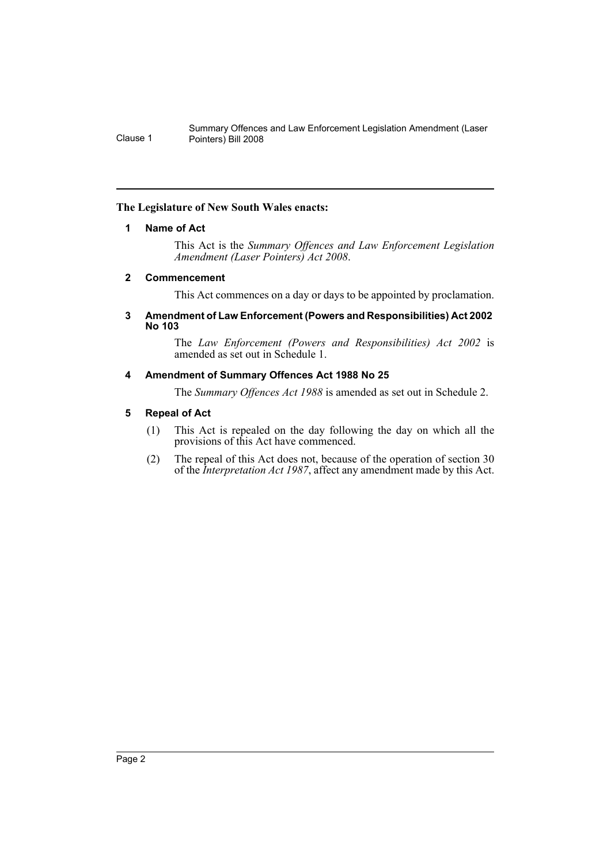Summary Offences and Law Enforcement Legislation Amendment (Laser Clause 1 Pointers) Bill 2008

#### <span id="page-2-0"></span>**The Legislature of New South Wales enacts:**

#### **1 Name of Act**

This Act is the *Summary Offences and Law Enforcement Legislation Amendment (Laser Pointers) Act 2008*.

#### <span id="page-2-1"></span>**2 Commencement**

This Act commences on a day or days to be appointed by proclamation.

#### <span id="page-2-2"></span>**3 Amendment of Law Enforcement (Powers and Responsibilities) Act 2002 No 103**

The *Law Enforcement (Powers and Responsibilities) Act 2002* is amended as set out in Schedule 1.

#### <span id="page-2-3"></span>**4 Amendment of Summary Offences Act 1988 No 25**

The *Summary Offences Act 1988* is amended as set out in Schedule 2.

#### <span id="page-2-4"></span>**5 Repeal of Act**

- (1) This Act is repealed on the day following the day on which all the provisions of this Act have commenced.
- (2) The repeal of this Act does not, because of the operation of section 30 of the *Interpretation Act 1987*, affect any amendment made by this Act.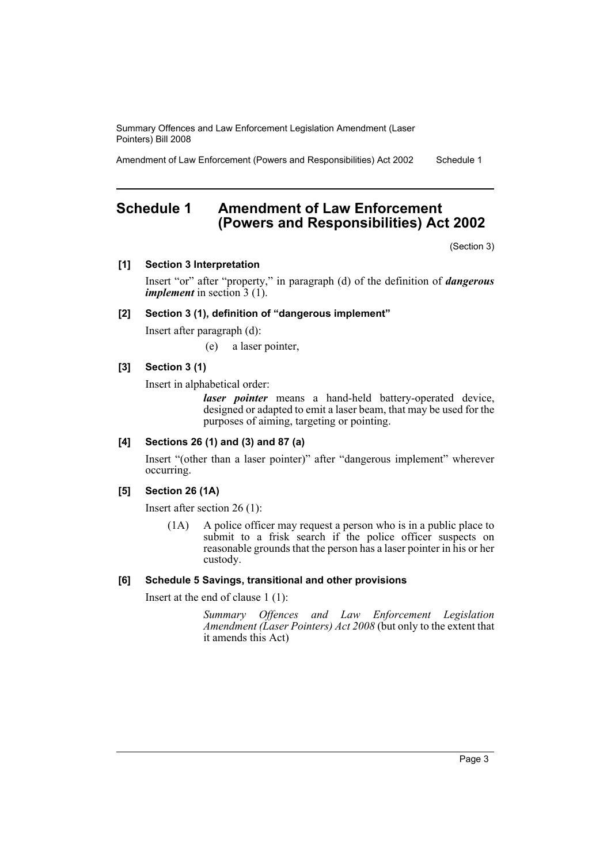Summary Offences and Law Enforcement Legislation Amendment (Laser Pointers) Bill 2008

Amendment of Law Enforcement (Powers and Responsibilities) Act 2002 Schedule 1

### <span id="page-3-0"></span>**Schedule 1 Amendment of Law Enforcement (Powers and Responsibilities) Act 2002**

(Section 3)

**[1] Section 3 Interpretation**

Insert "or" after "property," in paragraph (d) of the definition of *dangerous implement* in section 3 (1).

#### **[2] Section 3 (1), definition of "dangerous implement"**

Insert after paragraph (d):

(e) a laser pointer,

#### **[3] Section 3 (1)**

Insert in alphabetical order:

*laser pointer* means a hand-held battery-operated device, designed or adapted to emit a laser beam, that may be used for the purposes of aiming, targeting or pointing.

#### **[4] Sections 26 (1) and (3) and 87 (a)**

Insert "(other than a laser pointer)" after "dangerous implement" wherever occurring.

#### **[5] Section 26 (1A)**

Insert after section 26 (1):

(1A) A police officer may request a person who is in a public place to submit to a frisk search if the police officer suspects on reasonable grounds that the person has a laser pointer in his or her custody.

#### **[6] Schedule 5 Savings, transitional and other provisions**

Insert at the end of clause 1 (1):

*Summary Offences and Law Enforcement Legislation Amendment (Laser Pointers) Act 2008* (but only to the extent that it amends this Act)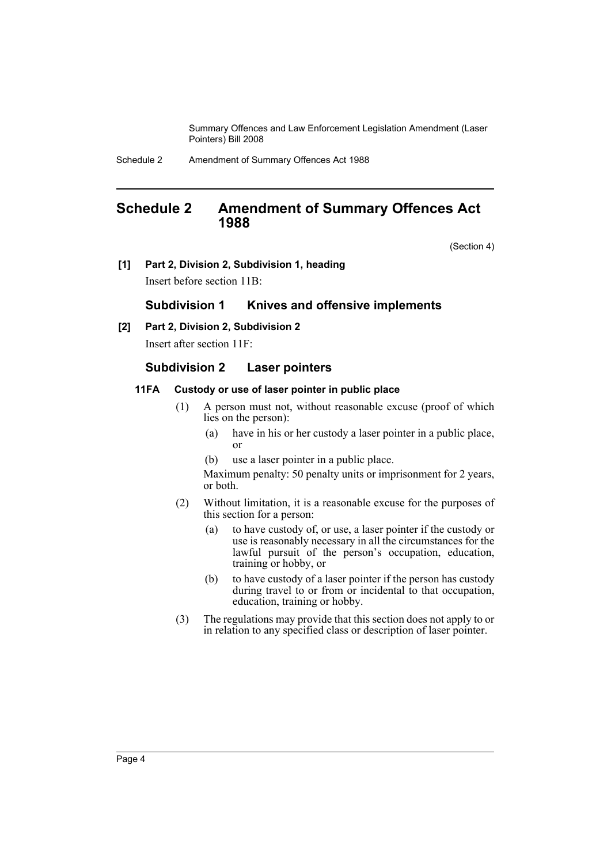Summary Offences and Law Enforcement Legislation Amendment (Laser Pointers) Bill 2008

### <span id="page-4-0"></span>**Schedule 2 Amendment of Summary Offences Act 1988**

(Section 4)

**[1] Part 2, Division 2, Subdivision 1, heading**

Insert before section 11B:

#### **Subdivision 1 Knives and offensive implements**

**[2] Part 2, Division 2, Subdivision 2**

Insert after section 11F:

#### **Subdivision 2 Laser pointers**

#### **11FA Custody or use of laser pointer in public place**

- (1) A person must not, without reasonable excuse (proof of which lies on the person):
	- (a) have in his or her custody a laser pointer in a public place, or
	- (b) use a laser pointer in a public place.

Maximum penalty: 50 penalty units or imprisonment for 2 years, or both.

- (2) Without limitation, it is a reasonable excuse for the purposes of this section for a person:
	- (a) to have custody of, or use, a laser pointer if the custody or use is reasonably necessary in all the circumstances for the lawful pursuit of the person's occupation, education, training or hobby, or
	- (b) to have custody of a laser pointer if the person has custody during travel to or from or incidental to that occupation, education, training or hobby.
- (3) The regulations may provide that this section does not apply to or in relation to any specified class or description of laser pointer.